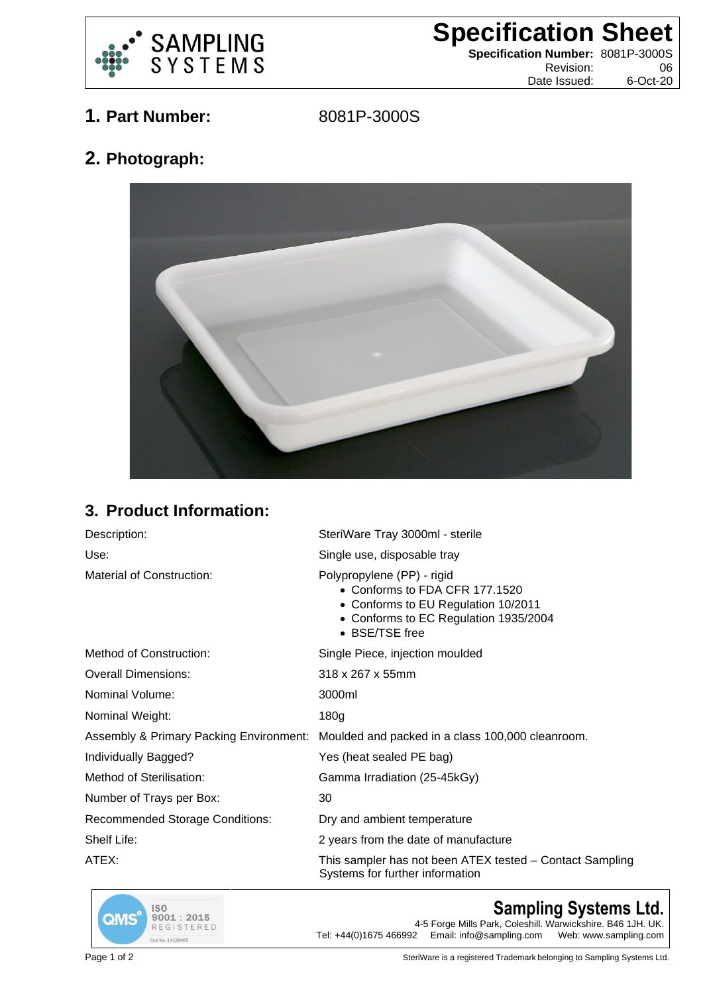

**Specification Sheet**

**Specification Number:** 8081P-3000S Revision: 06 Date Issued: 6-Oct-20

**1. Part Number:** 8081P-3000S

**2. Photograph:**



## **3. Product Information:**

| Description:                                       | SteriWare Tray 3000ml - sterile                                                                                                                                |
|----------------------------------------------------|----------------------------------------------------------------------------------------------------------------------------------------------------------------|
| Use:                                               | Single use, disposable tray                                                                                                                                    |
| Material of Construction:                          | Polypropylene (PP) - rigid<br>• Conforms to FDA CFR 177.1520<br>• Conforms to EU Regulation 10/2011<br>• Conforms to EC Regulation 1935/2004<br>• BSE/TSE free |
| <b>Method of Construction:</b>                     | Single Piece, injection moulded                                                                                                                                |
| <b>Overall Dimensions:</b>                         | 318 x 267 x 55mm                                                                                                                                               |
| Nominal Volume:                                    | 3000ml                                                                                                                                                         |
| Nominal Weight:                                    | 180 <sub>g</sub>                                                                                                                                               |
| <b>Assembly &amp; Primary Packing Environment:</b> | Moulded and packed in a class 100,000 cleanroom.                                                                                                               |
| Individually Bagged?                               | Yes (heat sealed PE bag)                                                                                                                                       |
| Method of Sterilisation:                           | Gamma Irradiation (25-45kGy)                                                                                                                                   |
| Number of Trays per Box:                           | 30                                                                                                                                                             |
| <b>Recommended Storage Conditions:</b>             | Dry and ambient temperature                                                                                                                                    |
| Shelf Life:                                        | 2 years from the date of manufacture                                                                                                                           |
| ATEX:                                              | This sampler has not been ATEX tested – Contact Sampling<br>Systems for further information                                                                    |



## **Sampling Systems Ltd.**

4-5 Forge Mills Park, Coleshill. Warwickshire. B46 1JH. UK.<br>Tel: +44(0)1675 466992 Email: info@sampling.com Web: www.sampling.com Email: info@sampling.com

Page 1 of 2 **Page 1** of 2 SteriWare is a registered Trademark belonging to Sampling Systems Ltd.